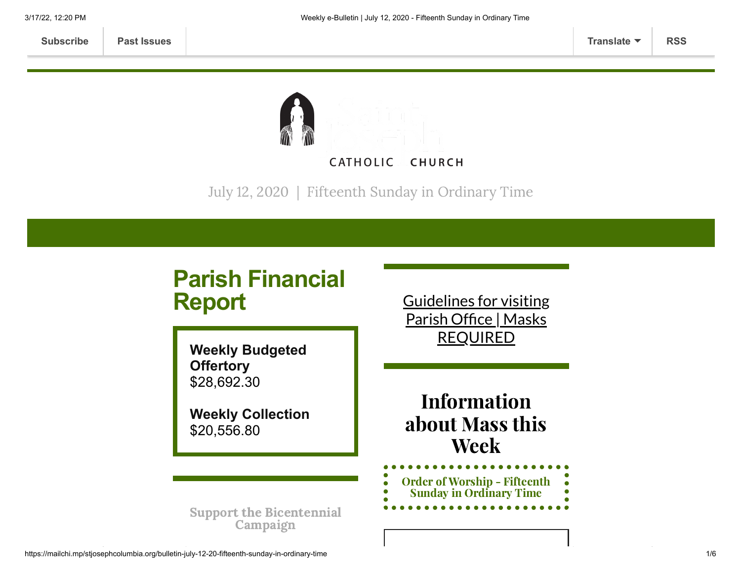

July 12, 2020 | Fifteenth Sunday in Ordinary Time

# **Parish Financial Report**

**Weekly Budgeted Offertory** \$28,692.30

**Weekly Collection** \$20,556.80

Guidelines for visiting Parish Office | Masks [REQUIRED](https://www.stjosephcolumbia.org/church-and-parish-office-hours)

Information about Mass this Week

Order of Worship - Fifteenth Sunday in [Ordinary](https://84aadc19-53c5-40cc-90da-b6ef66a7e382.filesusr.com/ugd/2de225_c12e20a128c6406890660e4820c801fb.pdf) Time

Support the [Bicentennial](https://www.stjosephcolumbia.org/bicentennial-campaign) Campaign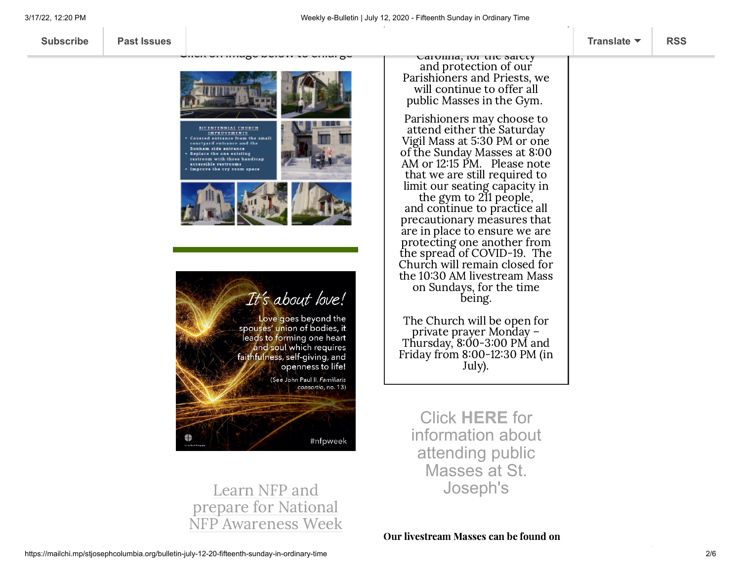

Carolina, for the safety and protection of our Parishioners and Priests, we will continue to offer all public Masses in the Gym.

Parishioners may choose to attend either the Saturday Vigil Mass at 5:30 PM or one of the Sunday Masses at 8:00 AM or 12:15 PM. Please note that we are still required to limit our seating capacity in the gym to 211 people,

and continue to practice all precautionary measures that are in place to ensure we are protecting one another from the spread of COVID-19. The Church will remain closed for the 10:30 AM livestream Mass on Sundays, for the time being.

The Church will be open for private prayer Monday – Thursday, 8:00-3:00 PM and Friday from 8:00-12:30 PM (in July).

Click **[HERE](https://www.stjosephcolumbia.org/resuming-public-masses)** for information about attending public Masses at St. Joseph's

Learn NFP and prepare for National NFP Awareness Week

Our livestream Masses can be found on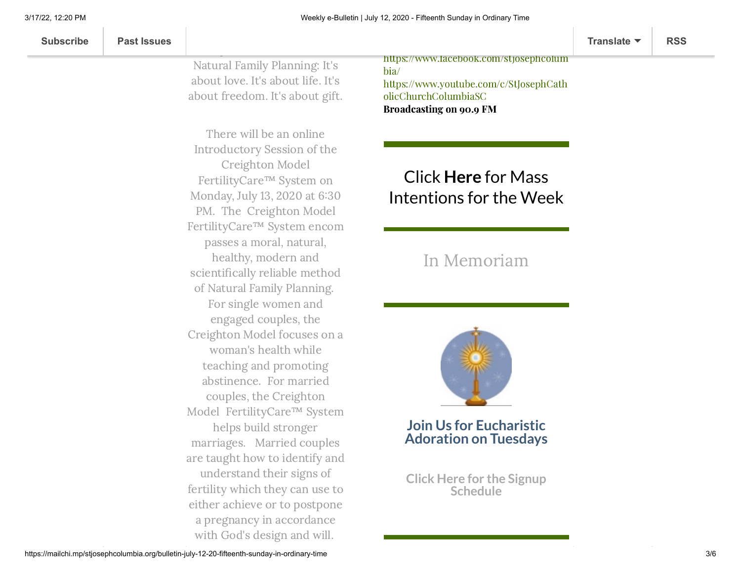Natural Family Planning: It's about love. It's about life. It's about freedom. It's about gift.

 $\mathcal{L}_{\mathcal{A}}$  and  $\mathcal{A}_{\mathcal{A}}$  arrived love to a married love to a married love to a married love to a married love to a married love to a married love to a married love to a married love to a married love to a married

There will be an online Introductory Session of the Creighton Model FertilityCare™ System on Monday, July 13, 2020 at 6:30 PM. The Creighton Model FertilityCare™ System encom passes a moral, natural, healthy, modern and scientifically reliable method of Natural Family Planning. For single women and engaged couples, the Creighton Model focuses on a woman's health while teaching and promoting abstinence. For married couples, the Creighton Model FertilityCare™ System helps build stronger marriages. Married couples are taught how to identify and understand their signs of fertility which they can use to either achieve or to postpone a pregnancy in accordance with God's design and will.

[https://www.facebook.com/stjosephcolum](https://www.facebook.com/stjosephcolumbia/) bia/ [https://www.youtube.com/c/StJosephCath](https://www.youtube.com/c/StJosephCatholicChurchColumbiaSC) olicChurchColumbiaSC Broadcasting on 90.9 FM

# Click **Here** for Mass [Intentions for](https://www.stjosephcolumbia.org/mass-intentions) the Week

## In [Memoriam](https://www.stjosephcolumbia.org/in-memoriam)



**Join Us for Eucharistic Adoration on Tuesdays**

**Click Here for the Signup [Schedule](https://www.stjosephcolumbia.org/copy-of-eucharistic-adoration-signu)**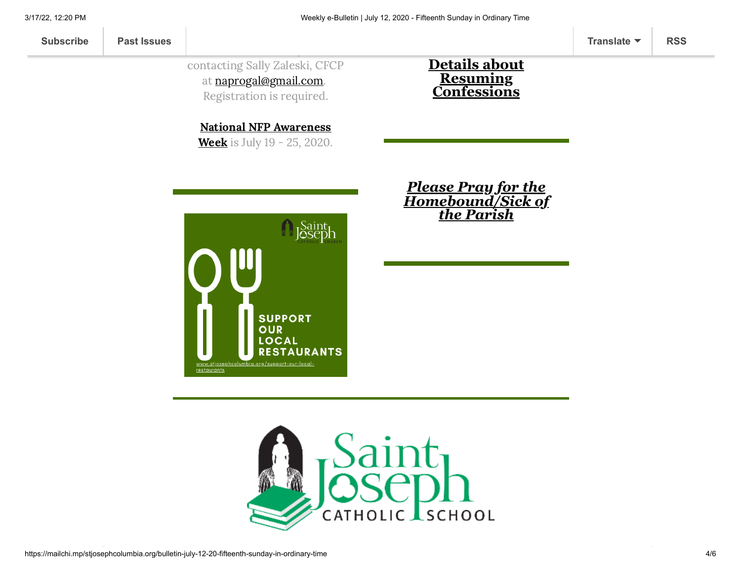### contacting Sally Zaleski, CFCP at [naprogal@gmail.com.](mailto:naprogal@gmail.com) Registration is required.

this session by

#### **Details about Resuming [Confessions](https://www.stjosephcolumbia.org/confessions)**

National NFP [Awareness](http://usccb.org/issues-and-action/marriage-and-family/natural-family-planning/awareness-week/upload/2020-NFP-Week-Bulletin-Insert-Live-the-Truth.pdf) **Week** is July 19 - 25, 2020.



*Please Pray for the [Homebound/Sick of](https://www.stjosephcolumbia.org/pray-for-the-homebound-sick-of-pari) the Parish*

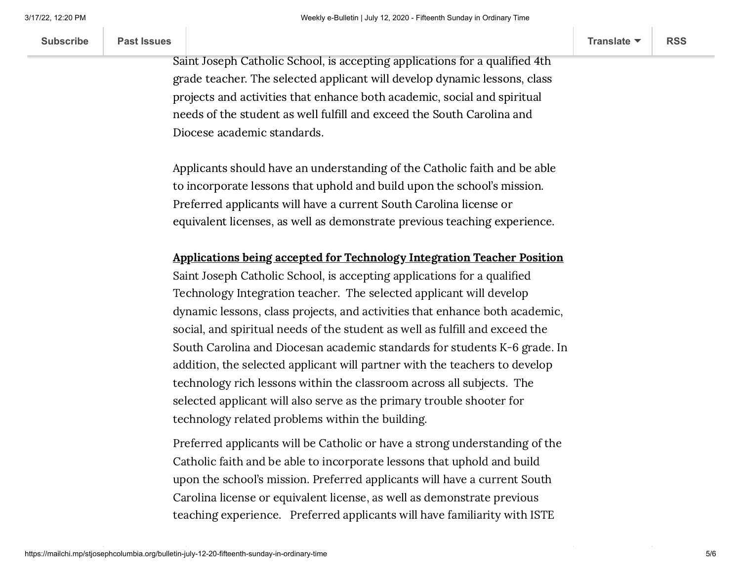| <b>Subscribe</b> | <b>Past Issues</b> |  | Translate $\blacktriangledown$ | <b>RSS</b> |
|------------------|--------------------|--|--------------------------------|------------|
|------------------|--------------------|--|--------------------------------|------------|

Saint Joseph Catholic School, is accepting applications for a qualified 4th grade teacher. The selected applicant will develop dynamic lessons, class projects and activities that enhance both academic, social and spiritual needs of the student as well fulfill and exceed the South Carolina and Diocese academic standards.

 $A$  accepted for  $4t$  accepted for  $4t$  accepted for  $4t$ 

Applicants should have an understanding of the Catholic faith and be able to incorporate lessons that uphold and build upon the school's mission. Preferred applicants will have a current South Carolina license or equivalent licenses, as well as demonstrate previous teaching experience.

#### Applications being accepted for Technology Integration Teacher Position

Saint Joseph Catholic School, is accepting applications for a qualified Technology Integration teacher. The selected applicant will develop dynamic lessons, class projects, and activities that enhance both academic, social, and spiritual needs of the student as well as fulfill and exceed the South Carolina and Diocesan academic standards for students K-6 grade. In addition, the selected applicant will partner with the teachers to develop technology rich lessons within the classroom across all subjects. The selected applicant will also serve as the primary trouble shooter for technology related problems within the building.

Preferred applicants will be Catholic or have a strong understanding of the Catholic faith and be able to incorporate lessons that uphold and build upon the school's mission. Preferred applicants will have a current South Carolina license or equivalent license, as well as demonstrate previous teaching experience. Preferred applicants will have familiarity with ISTE